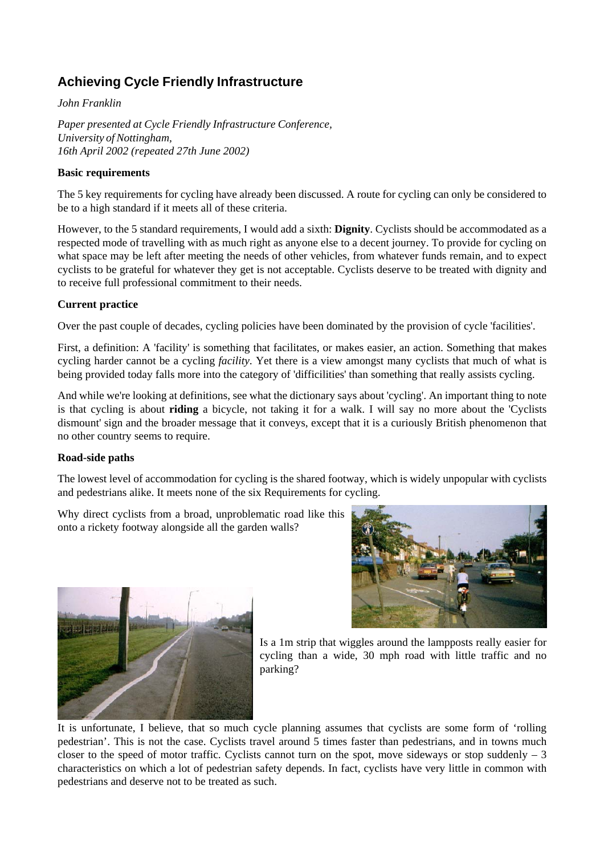## **Achieving Cycle Friendly Infrastructure**

*John Franklin*

*Paper presented at Cycle Friendly Infrastructure Conference, University of Nottingham, 16th April 2002 (repeated 27th June 2002)*

### **Basic requirements**

The 5 key requirements for cycling have already been discussed. A route for cycling can only be considered to be to a high standard if it meets all of these criteria.

However, to the 5 standard requirements, I would add a sixth: **Dignity**. Cyclists should be accommodated as a respected mode of travelling with as much right as anyone else to a decent journey. To provide for cycling on what space may be left after meeting the needs of other vehicles, from whatever funds remain, and to expect cyclists to be grateful for whatever they get is not acceptable. Cyclists deserve to be treated with dignity and to receive full professional commitment to their needs.

### **Current practice**

Over the past couple of decades, cycling policies have been dominated by the provision of cycle 'facilities'.

First, a definition: A 'facility' is something that facilitates, or makes easier, an action. Something that makes cycling harder cannot be a cycling *facility*. Yet there is a view amongst many cyclists that much of what is being provided today falls more into the category of 'difficilities' than something that really assists cycling.

And while we're looking at definitions, see what the dictionary says about 'cycling'. An important thing to note is that cycling is about **riding** a bicycle, not taking it for a walk. I will say no more about the 'Cyclists dismount' sign and the broader message that it conveys, except that it is a curiously British phenomenon that no other country seems to require.

#### **Road-side paths**

The lowest level of accommodation for cycling is the shared footway, which is widely unpopular with cyclists and pedestrians alike. It meets none of the six Requirements for cycling.

Why direct cyclists from a broad, unproblematic road like this onto a rickety footway alongside all the garden walls?





Is a 1m strip that wiggles around the lampposts really easier for cycling than a wide, 30 mph road with little traffic and no parking?

It is unfortunate, I believe, that so much cycle planning assumes that cyclists are some form of 'rolling pedestrian'. This is not the case. Cyclists travel around 5 times faster than pedestrians, and in towns much closer to the speed of motor traffic. Cyclists cannot turn on the spot, move sideways or stop suddenly  $-3$ characteristics on which a lot of pedestrian safety depends. In fact, cyclists have very little in common with pedestrians and deserve not to be treated as such.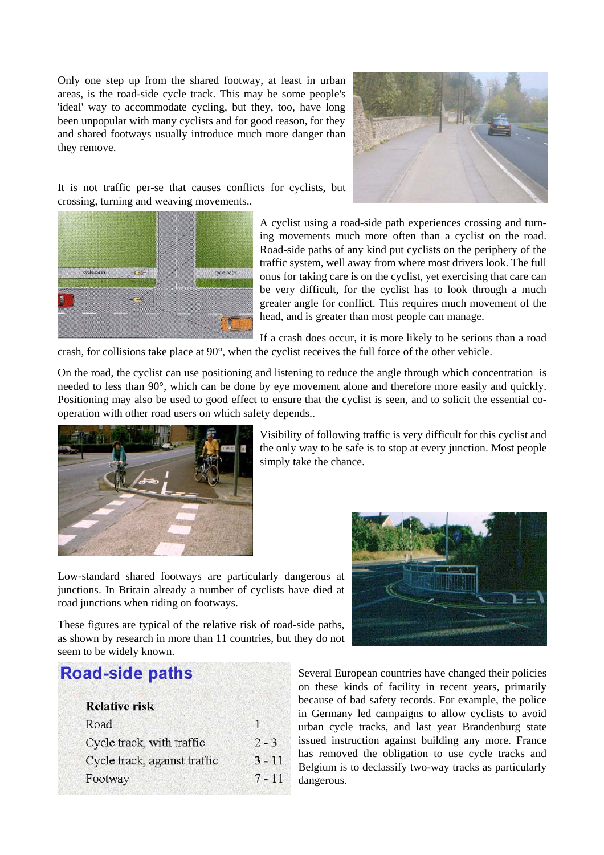Only one step up from the shared footway, at least in urban areas, is the road-side cycle track. This may be some people's 'ideal' way to accommodate cycling, but they, too, have long been unpopular with many cyclists and for good reason, for they and shared footways usually introduce much more danger than they remove.



It is not traffic per-se that causes conflicts for cyclists, but crossing, turning and weaving movements..



A cyclist using a road-side path experiences crossing and turning movements much more often than a cyclist on the road. Road-side paths of any kind put cyclists on the periphery of the traffic system, well away from where most drivers look. The full onus for taking care is on the cyclist, yet exercising that care can be very difficult, for the cyclist has to look through a much greater angle for conflict. This requires much movement of the head, and is greater than most people can manage.

If a crash does occur, it is more likely to be serious than a road crash, for collisions take place at 90°, when the cyclist receives the full force of the other vehicle.

On the road, the cyclist can use positioning and listening to reduce the angle through which concentration is needed to less than 90°, which can be done by eye movement alone and therefore more easily and quickly. Positioning may also be used to good effect to ensure that the cyclist is seen, and to solicit the essential cooperation with other road users on which safety depends..



Visibility of following traffic is very difficult for this cyclist and the only way to be safe is to stop at every junction. Most people simply take the chance.

Low-standard shared footways are particularly dangerous at junctions. In Britain already a number of cyclists have died at road junctions when riding on footways.

These figures are typical of the relative risk of road-side paths, as shown by research in more than 11 countries, but they do not seem to be widely known.

## **Road-side paths**

#### **Relative risk** Road  $\mathbf{1}$ Cycle track, with traffic  $2 - 3$ Cycle track, against traffic  $3 - 11$ Footway  $7 - 11$



Several European countries have changed their policies on these kinds of facility in recent years, primarily because of bad safety records. For example, the police in Germany led campaigns to allow cyclists to avoid urban cycle tracks, and last year Brandenburg state issued instruction against building any more. France has removed the obligation to use cycle tracks and Belgium is to declassify two-way tracks as particularly dangerous.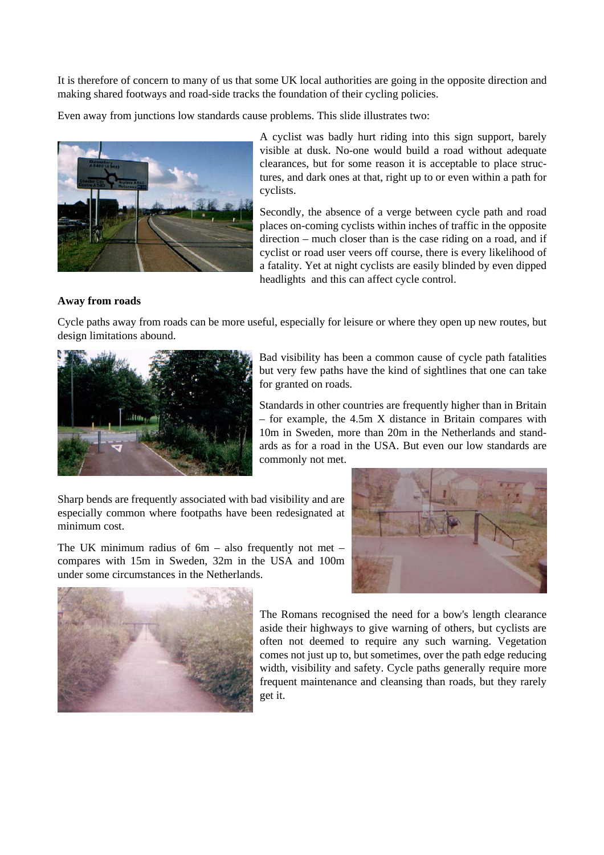It is therefore of concern to many of us that some UK local authorities are going in the opposite direction and making shared footways and road-side tracks the foundation of their cycling policies.

Even away from junctions low standards cause problems. This slide illustrates two:



A cyclist was badly hurt riding into this sign support, barely visible at dusk. No-one would build a road without adequate clearances, but for some reason it is acceptable to place structures, and dark ones at that, right up to or even within a path for cyclists.

Secondly, the absence of a verge between cycle path and road places on-coming cyclists within inches of traffic in the opposite direction – much closer than is the case riding on a road, and if cyclist or road user veers off course, there is every likelihood of a fatality. Yet at night cyclists are easily blinded by even dipped headlights and this can affect cycle control.

### **Away from roads**

Cycle paths away from roads can be more useful, especially for leisure or where they open up new routes, but design limitations abound.



Bad visibility has been a common cause of cycle path fatalities but very few paths have the kind of sightlines that one can take for granted on roads.

Standards in other countries are frequently higher than in Britain – for example, the 4.5m X distance in Britain compares with 10m in Sweden, more than 20m in the Netherlands and standards as for a road in the USA. But even our low standards are commonly not met.

Sharp bends are frequently associated with bad visibility and are especially common where footpaths have been redesignated at minimum cost.

The UK minimum radius of  $6m - also$  frequently not met – compares with 15m in Sweden, 32m in the USA and 100m under some circumstances in the Netherlands.





The Romans recognised the need for a bow's length clearance aside their highways to give warning of others, but cyclists are often not deemed to require any such warning. Vegetation comes not just up to, but sometimes, over the path edge reducing width, visibility and safety. Cycle paths generally require more frequent maintenance and cleansing than roads, but they rarely get it.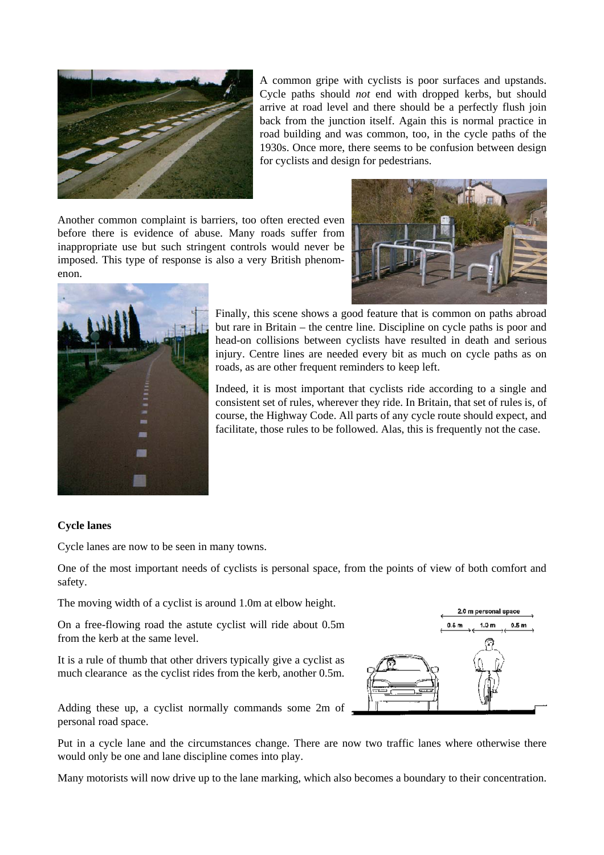

A common gripe with cyclists is poor surfaces and upstands. Cycle paths should *not* end with dropped kerbs, but should arrive at road level and there should be a perfectly flush join back from the junction itself. Again this is normal practice in road building and was common, too, in the cycle paths of the 1930s. Once more, there seems to be confusion between design for cyclists and design for pedestrians.

Another common complaint is barriers, too often erected even before there is evidence of abuse. Many roads suffer from inappropriate use but such stringent controls would never be imposed. This type of response is also a very British phenomenon.





Finally, this scene shows a good feature that is common on paths abroad but rare in Britain – the centre line. Discipline on cycle paths is poor and head-on collisions between cyclists have resulted in death and serious injury. Centre lines are needed every bit as much on cycle paths as on roads, as are other frequent reminders to keep left.

Indeed, it is most important that cyclists ride according to a single and consistent set of rules, wherever they ride. In Britain, that set of rules is, of course, the Highway Code. All parts of any cycle route should expect, and facilitate, those rules to be followed. Alas, this is frequently not the case.

#### **Cycle lanes**

Cycle lanes are now to be seen in many towns.

One of the most important needs of cyclists is personal space, from the points of view of both comfort and safety.

The moving width of a cyclist is around 1.0m at elbow height.

On a free-flowing road the astute cyclist will ride about 0.5m from the kerb at the same level.

It is a rule of thumb that other drivers typically give a cyclist as much clearance as the cyclist rides from the kerb, another 0.5m.



Adding these up, a cyclist normally commands some 2m of personal road space.

Put in a cycle lane and the circumstances change. There are now two traffic lanes where otherwise there would only be one and lane discipline comes into play.

Many motorists will now drive up to the lane marking, which also becomes a boundary to their concentration.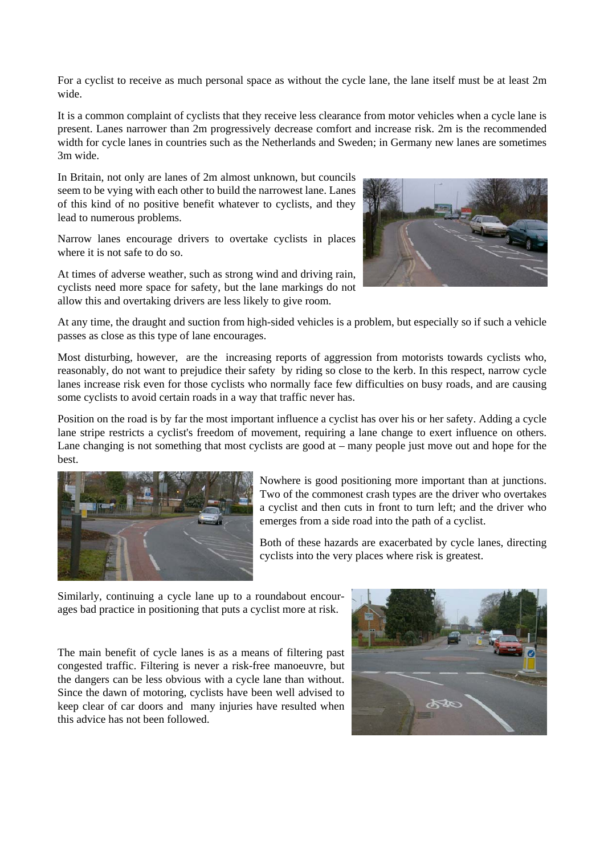For a cyclist to receive as much personal space as without the cycle lane, the lane itself must be at least 2m wide.

It is a common complaint of cyclists that they receive less clearance from motor vehicles when a cycle lane is present. Lanes narrower than 2m progressively decrease comfort and increase risk. 2m is the recommended width for cycle lanes in countries such as the Netherlands and Sweden; in Germany new lanes are sometimes 3m wide.

In Britain, not only are lanes of 2m almost unknown, but councils seem to be vying with each other to build the narrowest lane. Lanes of this kind of no positive benefit whatever to cyclists, and they lead to numerous problems.

Narrow lanes encourage drivers to overtake cyclists in places where it is not safe to do so.

At times of adverse weather, such as strong wind and driving rain, cyclists need more space for safety, but the lane markings do not allow this and overtaking drivers are less likely to give room.



At any time, the draught and suction from high-sided vehicles is a problem, but especially so if such a vehicle passes as close as this type of lane encourages.

Most disturbing, however, are the increasing reports of aggression from motorists towards cyclists who, reasonably, do not want to prejudice their safety by riding so close to the kerb. In this respect, narrow cycle lanes increase risk even for those cyclists who normally face few difficulties on busy roads, and are causing some cyclists to avoid certain roads in a way that traffic never has.

Position on the road is by far the most important influence a cyclist has over his or her safety. Adding a cycle lane stripe restricts a cyclist's freedom of movement, requiring a lane change to exert influence on others. Lane changing is not something that most cyclists are good at – many people just move out and hope for the best.



Nowhere is good positioning more important than at junctions. Two of the commonest crash types are the driver who overtakes a cyclist and then cuts in front to turn left; and the driver who emerges from a side road into the path of a cyclist.

Both of these hazards are exacerbated by cycle lanes, directing cyclists into the very places where risk is greatest.

Similarly, continuing a cycle lane up to a roundabout encourages bad practice in positioning that puts a cyclist more at risk.

The main benefit of cycle lanes is as a means of filtering past congested traffic. Filtering is never a risk-free manoeuvre, but the dangers can be less obvious with a cycle lane than without. Since the dawn of motoring, cyclists have been well advised to keep clear of car doors and many injuries have resulted when this advice has not been followed.

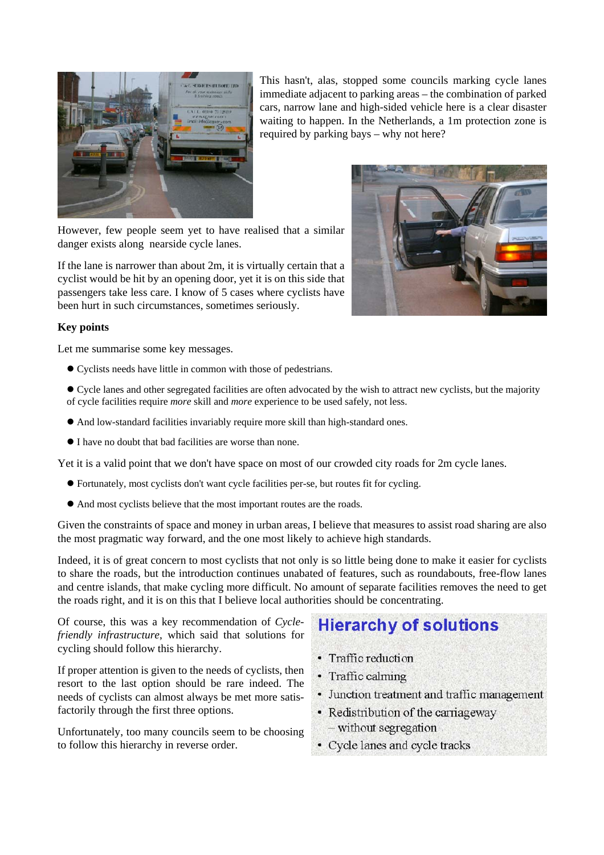

This hasn't, alas, stopped some councils marking cycle lanes immediate adjacent to parking areas – the combination of parked cars, narrow lane and high-sided vehicle here is a clear disaster waiting to happen. In the Netherlands, a 1m protection zone is required by parking bays – why not here?

However, few people seem yet to have realised that a similar danger exists along nearside cycle lanes.

If the lane is narrower than about 2m, it is virtually certain that a cyclist would be hit by an opening door, yet it is on this side that passengers take less care. I know of 5 cases where cyclists have been hurt in such circumstances, sometimes seriously.

#### **Key points**

Let me summarise some key messages.

- z Cyclists needs have little in common with those of pedestrians.
- Cycle lanes and other segregated facilities are often advocated by the wish to attract new cyclists, but the majority of cycle facilities require *more* skill and *more* experience to be used safely, not less.
- And low-standard facilities invariably require more skill than high-standard ones.
- $\bullet$  I have no doubt that bad facilities are worse than none.

Yet it is a valid point that we don't have space on most of our crowded city roads for 2m cycle lanes.

- $\bullet$  Fortunately, most cyclists don't want cycle facilities per-se, but routes fit for cycling.
- $\bullet$  And most cyclists believe that the most important routes are the roads.

Given the constraints of space and money in urban areas, I believe that measures to assist road sharing are also the most pragmatic way forward, and the one most likely to achieve high standards.

Indeed, it is of great concern to most cyclists that not only is so little being done to make it easier for cyclists to share the roads, but the introduction continues unabated of features, such as roundabouts, free-flow lanes and centre islands, that make cycling more difficult. No amount of separate facilities removes the need to get the roads right, and it is on this that I believe local authorities should be concentrating.

Of course, this was a key recommendation of *Cyclefriendly infrastructure*, which said that solutions for cycling should follow this hierarchy.

If proper attention is given to the needs of cyclists, then resort to the last option should be rare indeed. The needs of cyclists can almost always be met more satisfactorily through the first three options.

Unfortunately, too many councils seem to be choosing to follow this hierarchy in reverse order.

# **Hierarchy of solutions**

- Traffic reduction
- Traffic calming
- Junction treatment and traffic management
- Redistribution of the carriageway
- without segregation
- Cycle lanes and cycle tracks

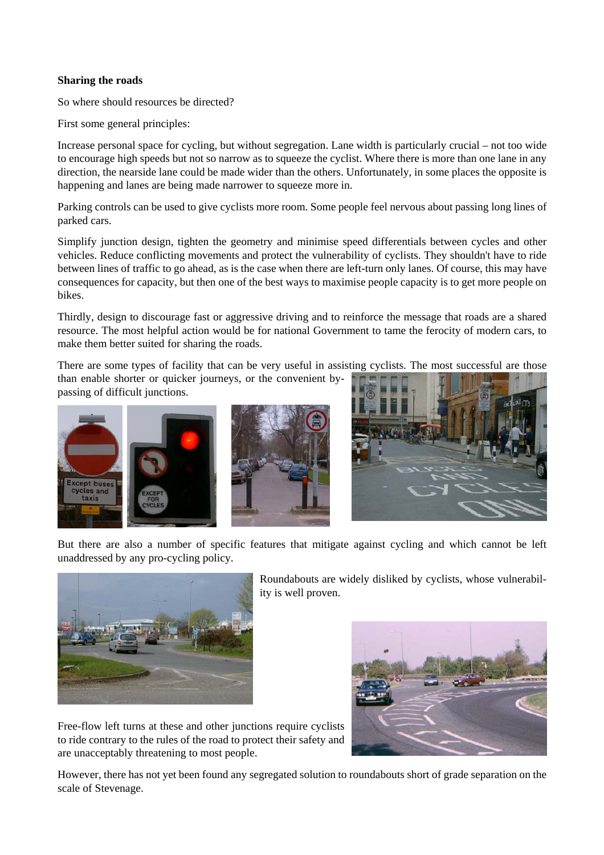#### **Sharing the roads**

So where should resources be directed?

First some general principles:

Increase personal space for cycling, but without segregation. Lane width is particularly crucial – not too wide to encourage high speeds but not so narrow as to squeeze the cyclist. Where there is more than one lane in any direction, the nearside lane could be made wider than the others. Unfortunately, in some places the opposite is happening and lanes are being made narrower to squeeze more in.

Parking controls can be used to give cyclists more room. Some people feel nervous about passing long lines of parked cars.

Simplify junction design, tighten the geometry and minimise speed differentials between cycles and other vehicles. Reduce conflicting movements and protect the vulnerability of cyclists. They shouldn't have to ride between lines of traffic to go ahead, as is the case when there are left-turn only lanes. Of course, this may have consequences for capacity, but then one of the best ways to maximise people capacity is to get more people on bikes.

Thirdly, design to discourage fast or aggressive driving and to reinforce the message that roads are a shared resource. The most helpful action would be for national Government to tame the ferocity of modern cars, to make them better suited for sharing the roads.

There are some types of facility that can be very useful in assisting cyclists. The most successful are those than enable shorter or quicker journeys, or the convenient bypassing of difficult junctions.







But there are also a number of specific features that mitigate against cycling and which cannot be left unaddressed by any pro-cycling policy.



Roundabouts are widely disliked by cyclists, whose vulnerability is well proven.

Free-flow left turns at these and other junctions require cyclists to ride contrary to the rules of the road to protect their safety and are unacceptably threatening to most people.



However, there has not yet been found any segregated solution to roundabouts short of grade separation on the scale of Stevenage.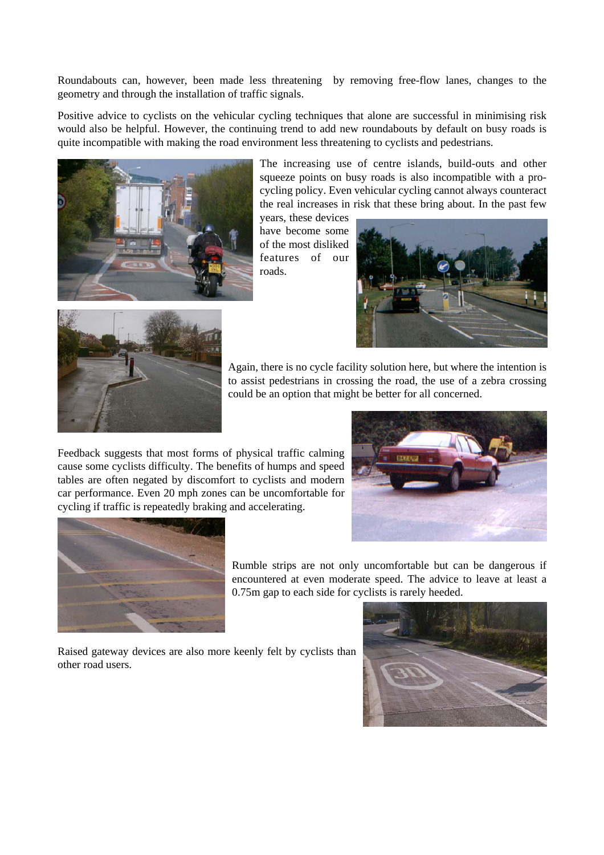Roundabouts can, however, been made less threatening by removing free-flow lanes, changes to the geometry and through the installation of traffic signals.

Positive advice to cyclists on the vehicular cycling techniques that alone are successful in minimising risk would also be helpful. However, the continuing trend to add new roundabouts by default on busy roads is quite incompatible with making the road environment less threatening to cyclists and pedestrians.



The increasing use of centre islands, build-outs and other squeeze points on busy roads is also incompatible with a procycling policy. Even vehicular cycling cannot always counteract the real increases in risk that these bring about. In the past few

years, these devices have become some of the most disliked features of our roads.





Again, there is no cycle facility solution here, but where the intention is to assist pedestrians in crossing the road, the use of a zebra crossing could be an option that might be better for all concerned.

Feedback suggests that most forms of physical traffic calming cause some cyclists difficulty. The benefits of humps and speed tables are often negated by discomfort to cyclists and modern car performance. Even 20 mph zones can be uncomfortable for cycling if traffic is repeatedly braking and accelerating.





other road users.

Rumble strips are not only uncomfortable but can be dangerous if encountered at even moderate speed. The advice to leave at least a 0.75m gap to each side for cyclists is rarely heeded.